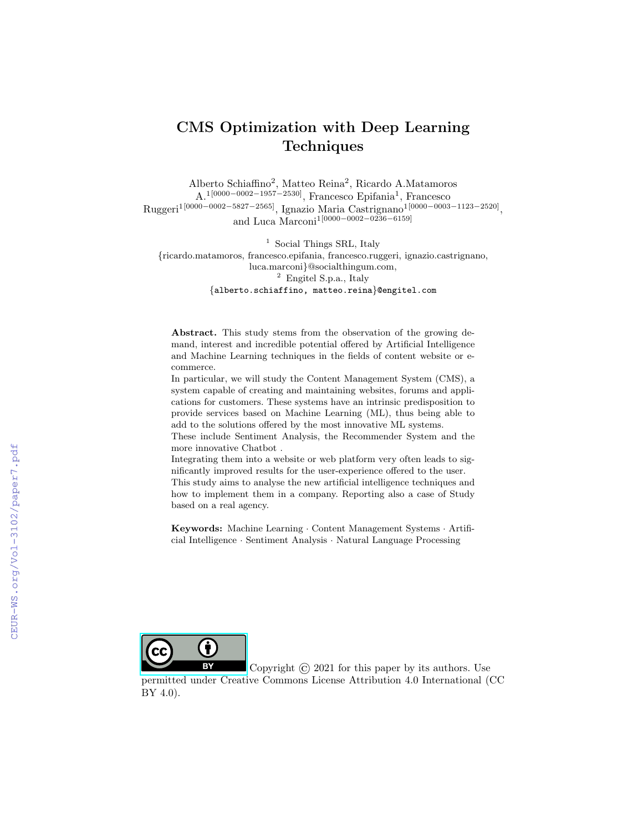# CMS Optimization with Deep Learning Techniques

Alberto Schiaffino<sup>2</sup>, Matteo Reina<sup>2</sup>, Ricardo A.Matamoros A.1[0000−0002−1957−2530], Francesco Epifania<sup>1</sup> , Francesco Ruggeri1[0000−0002−5827−2565], Ignazio Maria Castrignano1[0000−0003−1123−2520] , and Luca Marconi<sup>1</sup>[0000−0002−0236−6159]

<sup>1</sup> Social Things SRL, Italy {ricardo.matamoros, francesco.epifania, francesco.ruggeri, ignazio.castrignano, luca.marconi}@socialthingum.com, <sup>2</sup> Engitel S.p.a., Italy {alberto.schiaffino, matteo.reina}@engitel.com

Abstract. This study stems from the observation of the growing demand, interest and incredible potential offered by Artificial Intelligence and Machine Learning techniques in the fields of content website or ecommerce.

In particular, we will study the Content Management System (CMS), a system capable of creating and maintaining websites, forums and applications for customers. These systems have an intrinsic predisposition to provide services based on Machine Learning (ML), thus being able to add to the solutions offered by the most innovative ML systems.

These include Sentiment Analysis, the Recommender System and the more innovative Chatbot .

Integrating them into a website or web platform very often leads to significantly improved results for the user-experience offered to the user.

This study aims to analyse the new artificial intelligence techniques and how to implement them in a company. Reporting also a case of Study based on a real agency.

Keywords: Machine Learning · Content Management Systems · Artificial Intelligence · Sentiment Analysis · Natural Language Processing



Copyright  $\odot$  2021 for this paper by its authors. Use

permitted under Creative Commons License Attribution 4.0 International (CC BY 4.0).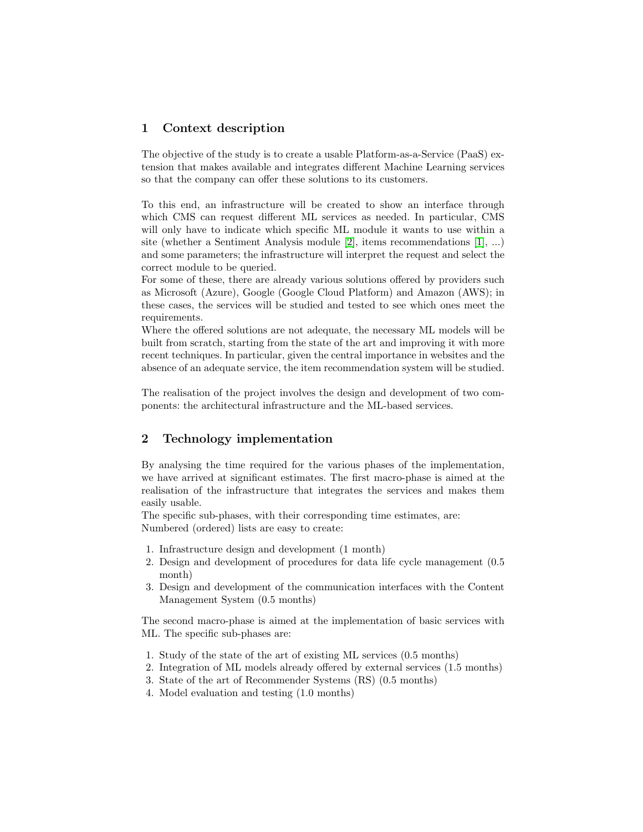## 1 Context description

The objective of the study is to create a usable Platform-as-a-Service (PaaS) extension that makes available and integrates different Machine Learning services so that the company can offer these solutions to its customers.

To this end, an infrastructure will be created to show an interface through which CMS can request different ML services as needed. In particular, CMS will only have to indicate which specific ML module it wants to use within a site (whether a Sentiment Analysis module [\[2\]](#page-9-0), items recommendations [\[1\]](#page-9-1), ...) and some parameters; the infrastructure will interpret the request and select the correct module to be queried.

For some of these, there are already various solutions offered by providers such as Microsoft (Azure), Google (Google Cloud Platform) and Amazon (AWS); in these cases, the services will be studied and tested to see which ones meet the requirements.

Where the offered solutions are not adequate, the necessary ML models will be built from scratch, starting from the state of the art and improving it with more recent techniques. In particular, given the central importance in websites and the absence of an adequate service, the item recommendation system will be studied.

The realisation of the project involves the design and development of two components: the architectural infrastructure and the ML-based services.

# 2 Technology implementation

By analysing the time required for the various phases of the implementation, we have arrived at significant estimates. The first macro-phase is aimed at the realisation of the infrastructure that integrates the services and makes them easily usable.

The specific sub-phases, with their corresponding time estimates, are: Numbered (ordered) lists are easy to create:

- 1. Infrastructure design and development (1 month)
- 2. Design and development of procedures for data life cycle management (0.5 month)
- 3. Design and development of the communication interfaces with the Content Management System (0.5 months)

The second macro-phase is aimed at the implementation of basic services with ML. The specific sub-phases are:

- 1. Study of the state of the art of existing ML services (0.5 months)
- 2. Integration of ML models already offered by external services (1.5 months)
- 3. State of the art of Recommender Systems (RS) (0.5 months)
- 4. Model evaluation and testing (1.0 months)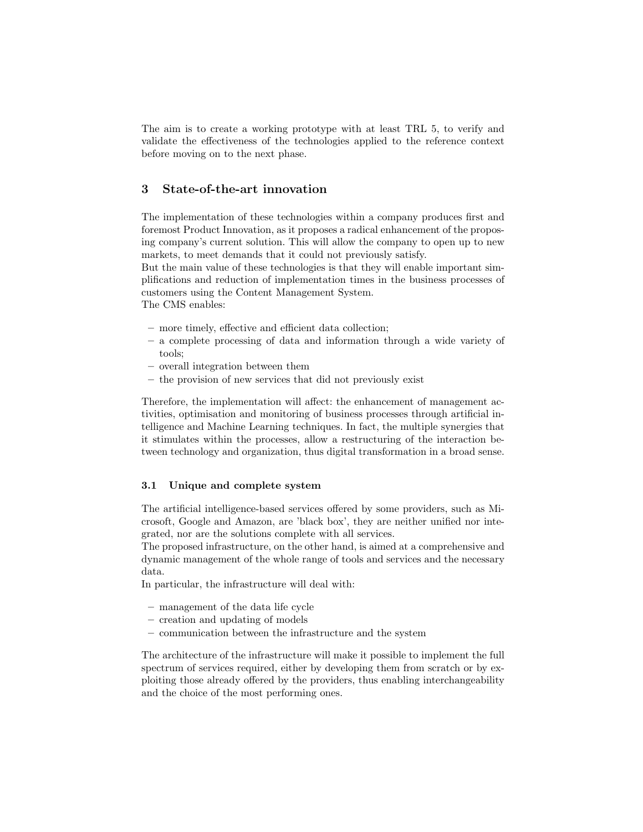The aim is to create a working prototype with at least TRL 5, to verify and validate the effectiveness of the technologies applied to the reference context before moving on to the next phase.

## 3 State-of-the-art innovation

The implementation of these technologies within a company produces first and foremost Product Innovation, as it proposes a radical enhancement of the proposing company's current solution. This will allow the company to open up to new markets, to meet demands that it could not previously satisfy.

But the main value of these technologies is that they will enable important simplifications and reduction of implementation times in the business processes of customers using the Content Management System.

The CMS enables:

- more timely, effective and efficient data collection;
- a complete processing of data and information through a wide variety of tools;
- overall integration between them
- the provision of new services that did not previously exist

Therefore, the implementation will affect: the enhancement of management activities, optimisation and monitoring of business processes through artificial intelligence and Machine Learning techniques. In fact, the multiple synergies that it stimulates within the processes, allow a restructuring of the interaction between technology and organization, thus digital transformation in a broad sense.

#### 3.1 Unique and complete system

The artificial intelligence-based services offered by some providers, such as Microsoft, Google and Amazon, are 'black box', they are neither unified nor integrated, nor are the solutions complete with all services.

The proposed infrastructure, on the other hand, is aimed at a comprehensive and dynamic management of the whole range of tools and services and the necessary data.

In particular, the infrastructure will deal with:

- management of the data life cycle
- creation and updating of models
- communication between the infrastructure and the system

The architecture of the infrastructure will make it possible to implement the full spectrum of services required, either by developing them from scratch or by exploiting those already offered by the providers, thus enabling interchangeability and the choice of the most performing ones.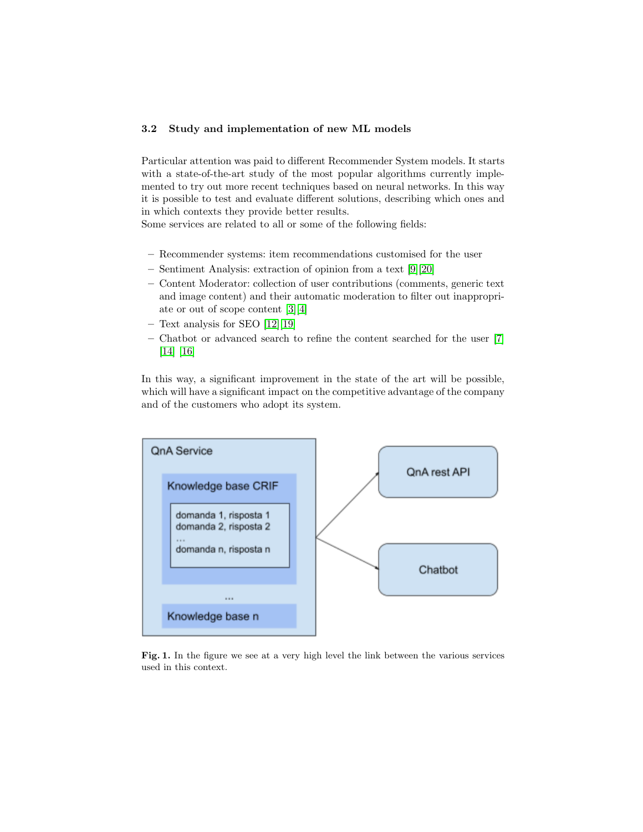### 3.2 Study and implementation of new ML models

Particular attention was paid to different Recommender System models. It starts with a state-of-the-art study of the most popular algorithms currently implemented to try out more recent techniques based on neural networks. In this way it is possible to test and evaluate different solutions, describing which ones and in which contexts they provide better results.

Some services are related to all or some of the following fields:

- Recommender systems: item recommendations customised for the user
- Sentiment Analysis: extraction of opinion from a text [\[9\]](#page-9-2)[\[20\]](#page-10-0)
- Content Moderator: collection of user contributions (comments, generic text and image content) and their automatic moderation to filter out inappropriate or out of scope content [\[3\]](#page-9-3)[\[4\]](#page-9-4)
- Text analysis for SEO [\[12\]](#page-9-5)[\[19\]](#page-9-6)
- Chatbot or advanced search to refine the content searched for the user [\[7\]](#page-9-7) [\[14\]](#page-9-8) [\[16\]](#page-9-9)

In this way, a significant improvement in the state of the art will be possible, which will have a significant impact on the competitive advantage of the company and of the customers who adopt its system.



Fig. 1. In the figure we see at a very high level the link between the various services used in this context.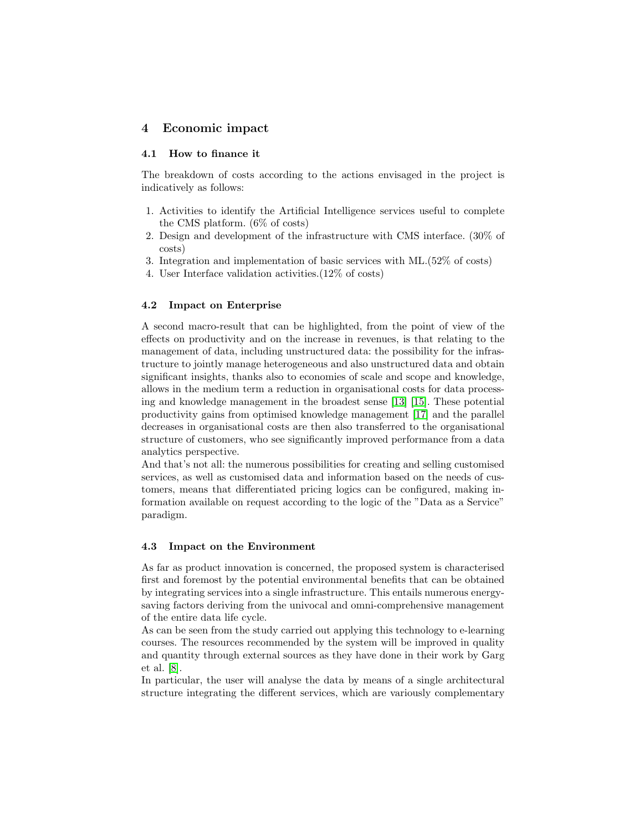# 4 Economic impact

#### 4.1 How to finance it

The breakdown of costs according to the actions envisaged in the project is indicatively as follows:

- 1. Activities to identify the Artificial Intelligence services useful to complete the CMS platform. (6% of costs)
- 2. Design and development of the infrastructure with CMS interface. (30% of costs)
- 3. Integration and implementation of basic services with ML.(52% of costs)
- 4. User Interface validation activities.(12% of costs)

#### 4.2 Impact on Enterprise

A second macro-result that can be highlighted, from the point of view of the effects on productivity and on the increase in revenues, is that relating to the management of data, including unstructured data: the possibility for the infrastructure to jointly manage heterogeneous and also unstructured data and obtain significant insights, thanks also to economies of scale and scope and knowledge, allows in the medium term a reduction in organisational costs for data processing and knowledge management in the broadest sense [\[13\]](#page-9-10) [\[15\]](#page-9-11). These potential productivity gains from optimised knowledge management [\[17\]](#page-9-12) and the parallel decreases in organisational costs are then also transferred to the organisational structure of customers, who see significantly improved performance from a data analytics perspective.

And that's not all: the numerous possibilities for creating and selling customised services, as well as customised data and information based on the needs of customers, means that differentiated pricing logics can be configured, making information available on request according to the logic of the "Data as a Service" paradigm.

#### 4.3 Impact on the Environment

As far as product innovation is concerned, the proposed system is characterised first and foremost by the potential environmental benefits that can be obtained by integrating services into a single infrastructure. This entails numerous energysaving factors deriving from the univocal and omni-comprehensive management of the entire data life cycle.

As can be seen from the study carried out applying this technology to e-learning courses. The resources recommended by the system will be improved in quality and quantity through external sources as they have done in their work by Garg et al. [\[8\]](#page-9-13).

In particular, the user will analyse the data by means of a single architectural structure integrating the different services, which are variously complementary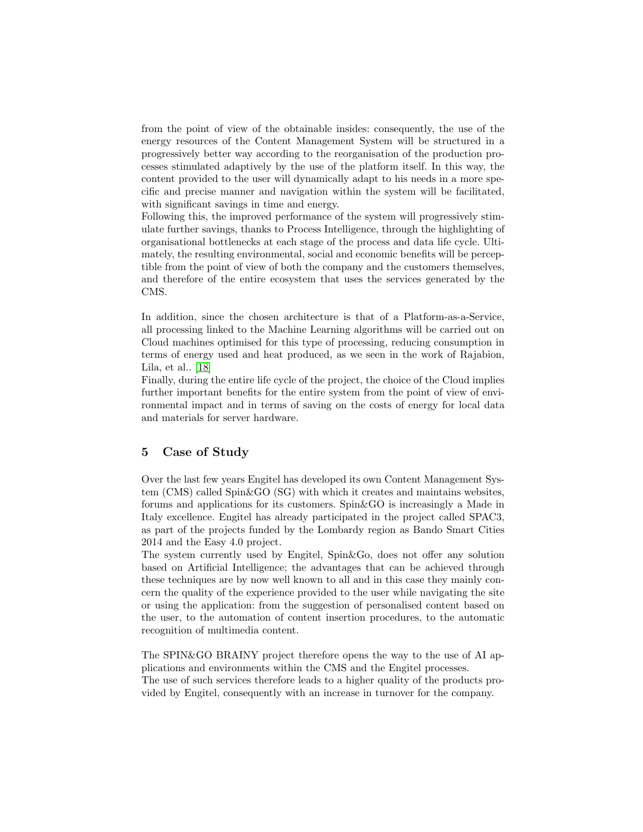from the point of view of the obtainable insides: consequently, the use of the energy resources of the Content Management System will be structured in a progressively better way according to the reorganisation of the production processes stimulated adaptively by the use of the platform itself. In this way, the content provided to the user will dynamically adapt to his needs in a more specific and precise manner and navigation within the system will be facilitated, with significant savings in time and energy.

Following this, the improved performance of the system will progressively stimulate further savings, thanks to Process Intelligence, through the highlighting of organisational bottlenecks at each stage of the process and data life cycle. Ultimately, the resulting environmental, social and economic benefits will be perceptible from the point of view of both the company and the customers themselves, and therefore of the entire ecosystem that uses the services generated by the CMS.

In addition, since the chosen architecture is that of a Platform-as-a-Service, all processing linked to the Machine Learning algorithms will be carried out on Cloud machines optimised for this type of processing, reducing consumption in terms of energy used and heat produced, as we seen in the work of Rajabion, Lila, et al.. [\[18\]](#page-9-14)

Finally, during the entire life cycle of the project, the choice of the Cloud implies further important benefits for the entire system from the point of view of environmental impact and in terms of saving on the costs of energy for local data and materials for server hardware.

## 5 Case of Study

Over the last few years Engitel has developed its own Content Management System (CMS) called Spin&GO (SG) with which it creates and maintains websites, forums and applications for its customers. Spin&GO is increasingly a Made in Italy excellence. Engitel has already participated in the project called SPAC3, as part of the projects funded by the Lombardy region as Bando Smart Cities 2014 and the Easy 4.0 project.

The system currently used by Engitel, Spin&Go, does not offer any solution based on Artificial Intelligence; the advantages that can be achieved through these techniques are by now well known to all and in this case they mainly concern the quality of the experience provided to the user while navigating the site or using the application: from the suggestion of personalised content based on the user, to the automation of content insertion procedures, to the automatic recognition of multimedia content.

The SPIN&GO BRAINY project therefore opens the way to the use of AI applications and environments within the CMS and the Engitel processes. The use of such services therefore leads to a higher quality of the products pro-

vided by Engitel, consequently with an increase in turnover for the company.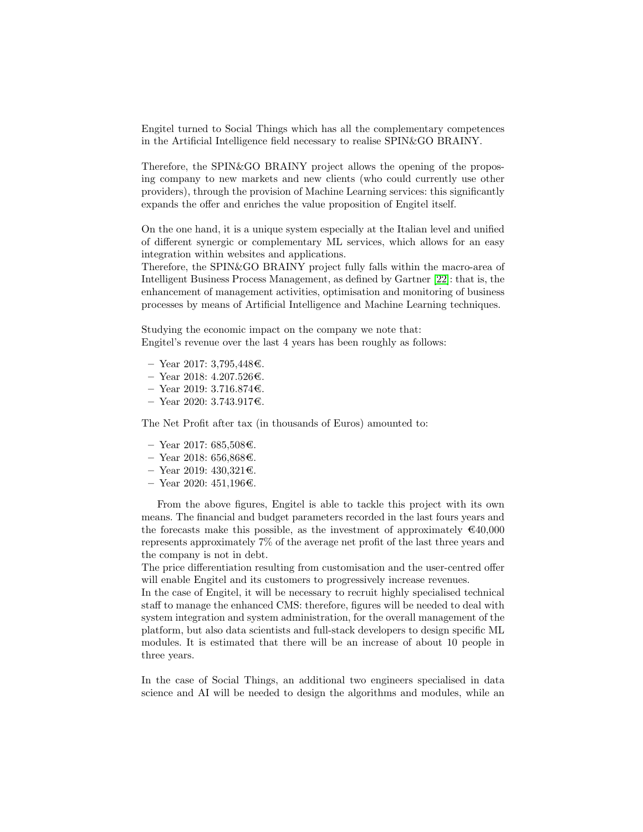Engitel turned to Social Things which has all the complementary competences in the Artificial Intelligence field necessary to realise SPIN&GO BRAINY.

Therefore, the SPIN&GO BRAINY project allows the opening of the proposing company to new markets and new clients (who could currently use other providers), through the provision of Machine Learning services: this significantly expands the offer and enriches the value proposition of Engitel itself.

On the one hand, it is a unique system especially at the Italian level and unified of different synergic or complementary ML services, which allows for an easy integration within websites and applications.

Therefore, the SPIN&GO BRAINY project fully falls within the macro-area of Intelligent Business Process Management, as defined by Gartner [\[22\]](#page-10-1): that is, the enhancement of management activities, optimisation and monitoring of business processes by means of Artificial Intelligence and Machine Learning techniques.

Studying the economic impact on the company we note that: Engitel's revenue over the last 4 years has been roughly as follows:

- $-$  Year 2017: 3,795,448€.
- Year 2018: 4.207.526€.
- Year 2019: 3.716.874€.
- Year 2020: 3.743.917€.

The Net Profit after tax (in thousands of Euros) amounted to:

- $-$  Year 2017: 685,508€.
- $-$  Year 2018: 656,868€.
- $-$  Year 2019: 430,321€.
- $-$  Year 2020: 451,196€.

From the above figures, Engitel is able to tackle this project with its own means. The financial and budget parameters recorded in the last fours years and the forecasts make this possible, as the investment of approximately  $\epsilon$ 40,000 represents approximately 7% of the average net profit of the last three years and the company is not in debt.

The price differentiation resulting from customisation and the user-centred offer will enable Engitel and its customers to progressively increase revenues.

In the case of Engitel, it will be necessary to recruit highly specialised technical staff to manage the enhanced CMS: therefore, figures will be needed to deal with system integration and system administration, for the overall management of the platform, but also data scientists and full-stack developers to design specific ML modules. It is estimated that there will be an increase of about 10 people in three years.

In the case of Social Things, an additional two engineers specialised in data science and AI will be needed to design the algorithms and modules, while an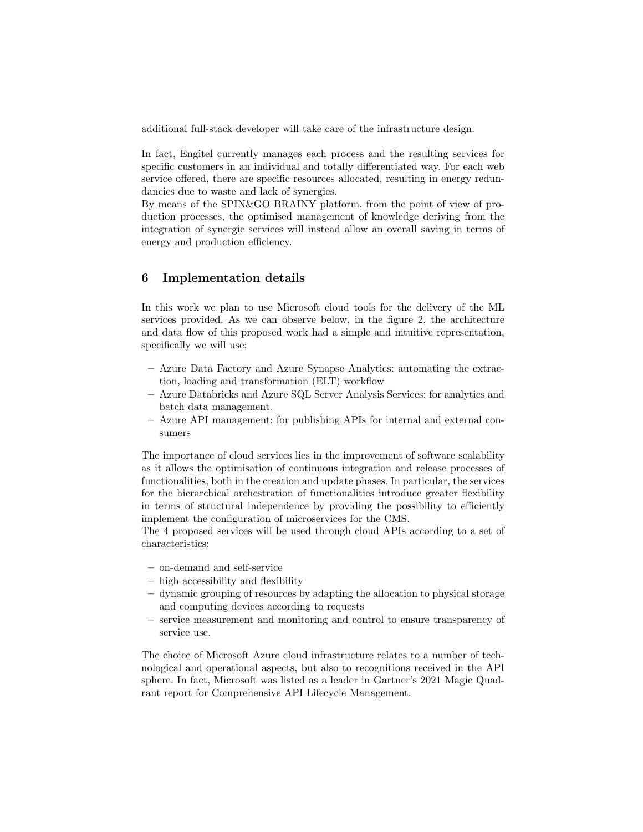additional full-stack developer will take care of the infrastructure design.

In fact, Engitel currently manages each process and the resulting services for specific customers in an individual and totally differentiated way. For each web service offered, there are specific resources allocated, resulting in energy redundancies due to waste and lack of synergies.

By means of the SPIN&GO BRAINY platform, from the point of view of production processes, the optimised management of knowledge deriving from the integration of synergic services will instead allow an overall saving in terms of energy and production efficiency.

## 6 Implementation details

In this work we plan to use Microsoft cloud tools for the delivery of the ML services provided. As we can observe below, in the figure 2, the architecture and data flow of this proposed work had a simple and intuitive representation, specifically we will use:

- Azure Data Factory and Azure Synapse Analytics: automating the extraction, loading and transformation (ELT) workflow
- Azure Databricks and Azure SQL Server Analysis Services: for analytics and batch data management.
- Azure API management: for publishing APIs for internal and external consumers

The importance of cloud services lies in the improvement of software scalability as it allows the optimisation of continuous integration and release processes of functionalities, both in the creation and update phases. In particular, the services for the hierarchical orchestration of functionalities introduce greater flexibility in terms of structural independence by providing the possibility to efficiently implement the configuration of microservices for the CMS.

The 4 proposed services will be used through cloud APIs according to a set of characteristics:

- on-demand and self-service
- high accessibility and flexibility
- dynamic grouping of resources by adapting the allocation to physical storage and computing devices according to requests
- service measurement and monitoring and control to ensure transparency of service use.

The choice of Microsoft Azure cloud infrastructure relates to a number of technological and operational aspects, but also to recognitions received in the API sphere. In fact, Microsoft was listed as a leader in Gartner's 2021 Magic Quadrant report for Comprehensive API Lifecycle Management.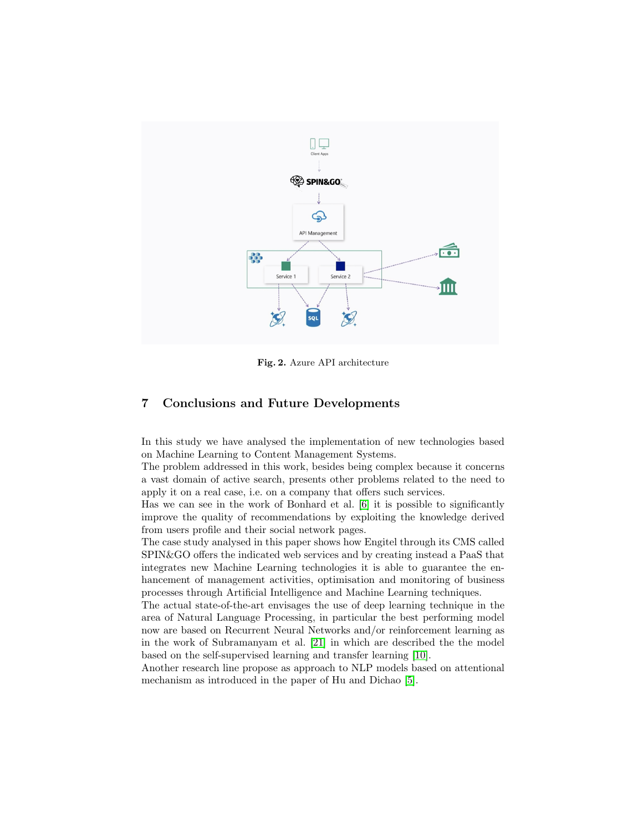

Fig. 2. Azure API architecture

## 7 Conclusions and Future Developments

In this study we have analysed the implementation of new technologies based on Machine Learning to Content Management Systems.

The problem addressed in this work, besides being complex because it concerns a vast domain of active search, presents other problems related to the need to apply it on a real case, i.e. on a company that offers such services.

Has we can see in the work of Bonhard et al. [\[6\]](#page-9-15) it is possible to significantly improve the quality of recommendations by exploiting the knowledge derived from users profile and their social network pages.

The case study analysed in this paper shows how Engitel through its CMS called SPIN&GO offers the indicated web services and by creating instead a PaaS that integrates new Machine Learning technologies it is able to guarantee the enhancement of management activities, optimisation and monitoring of business processes through Artificial Intelligence and Machine Learning techniques.

The actual state-of-the-art envisages the use of deep learning technique in the area of Natural Language Processing, in particular the best performing model now are based on Recurrent Neural Networks and/or reinforcement learning as in the work of Subramanyam et al. [\[21\]](#page-10-2) in which are described the the model based on the self-supervised learning and transfer learning [\[10\]](#page-9-16).

Another research line propose as approach to NLP models based on attentional mechanism as introduced in the paper of Hu and Dichao [\[5\]](#page-9-17).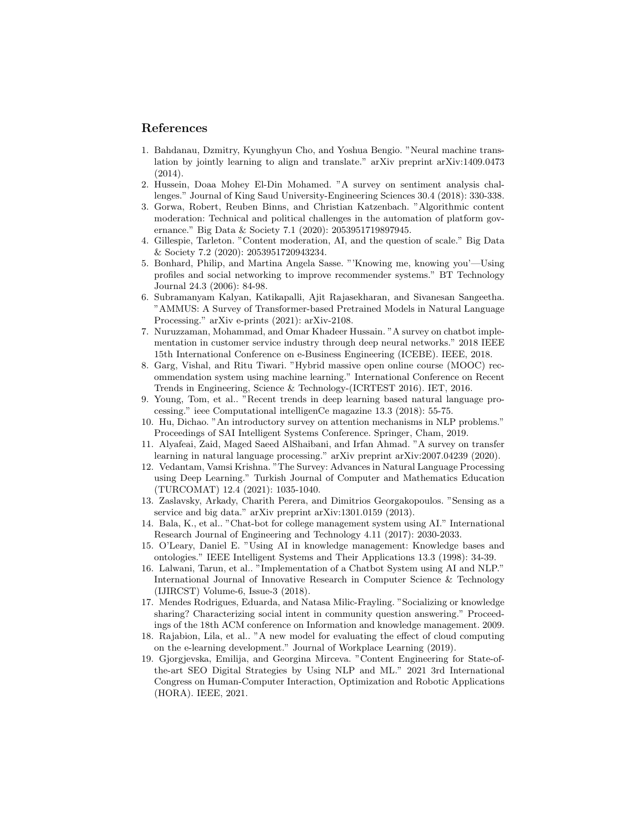## References

- <span id="page-9-1"></span>1. Bahdanau, Dzmitry, Kyunghyun Cho, and Yoshua Bengio. "Neural machine translation by jointly learning to align and translate." arXiv preprint arXiv:1409.0473 (2014).
- <span id="page-9-0"></span>2. Hussein, Doaa Mohey El-Din Mohamed. "A survey on sentiment analysis challenges." Journal of King Saud University-Engineering Sciences 30.4 (2018): 330-338.
- <span id="page-9-3"></span>3. Gorwa, Robert, Reuben Binns, and Christian Katzenbach. "Algorithmic content moderation: Technical and political challenges in the automation of platform governance." Big Data & Society 7.1 (2020): 2053951719897945.
- <span id="page-9-4"></span>4. Gillespie, Tarleton. "Content moderation, AI, and the question of scale." Big Data & Society 7.2 (2020): 2053951720943234.
- <span id="page-9-17"></span>5. Bonhard, Philip, and Martina Angela Sasse. "'Knowing me, knowing you'—Using profiles and social networking to improve recommender systems." BT Technology Journal 24.3 (2006): 84-98.
- <span id="page-9-15"></span>6. Subramanyam Kalyan, Katikapalli, Ajit Rajasekharan, and Sivanesan Sangeetha. "AMMUS: A Survey of Transformer-based Pretrained Models in Natural Language Processing." arXiv e-prints (2021): arXiv-2108.
- <span id="page-9-7"></span>7. Nuruzzaman, Mohammad, and Omar Khadeer Hussain. "A survey on chatbot implementation in customer service industry through deep neural networks." 2018 IEEE 15th International Conference on e-Business Engineering (ICEBE). IEEE, 2018.
- <span id="page-9-13"></span>8. Garg, Vishal, and Ritu Tiwari. "Hybrid massive open online course (MOOC) recommendation system using machine learning." International Conference on Recent Trends in Engineering, Science & Technology-(ICRTEST 2016). IET, 2016.
- <span id="page-9-2"></span>9. Young, Tom, et al.. "Recent trends in deep learning based natural language processing." ieee Computational intelligenCe magazine 13.3 (2018): 55-75.
- <span id="page-9-16"></span>10. Hu, Dichao. "An introductory survey on attention mechanisms in NLP problems." Proceedings of SAI Intelligent Systems Conference. Springer, Cham, 2019.
- 11. Alyafeai, Zaid, Maged Saeed AlShaibani, and Irfan Ahmad. "A survey on transfer learning in natural language processing." arXiv preprint arXiv:2007.04239 (2020).
- <span id="page-9-5"></span>12. Vedantam, Vamsi Krishna. "The Survey: Advances in Natural Language Processing using Deep Learning." Turkish Journal of Computer and Mathematics Education (TURCOMAT) 12.4 (2021): 1035-1040.
- <span id="page-9-10"></span>13. Zaslavsky, Arkady, Charith Perera, and Dimitrios Georgakopoulos. "Sensing as a service and big data." arXiv preprint arXiv:1301.0159 (2013).
- <span id="page-9-8"></span>14. Bala, K., et al.. "Chat-bot for college management system using AI." International Research Journal of Engineering and Technology 4.11 (2017): 2030-2033.
- <span id="page-9-11"></span>15. O'Leary, Daniel E. "Using AI in knowledge management: Knowledge bases and ontologies." IEEE Intelligent Systems and Their Applications 13.3 (1998): 34-39.
- <span id="page-9-9"></span>16. Lalwani, Tarun, et al.. "Implementation of a Chatbot System using AI and NLP." International Journal of Innovative Research in Computer Science & Technology (IJIRCST) Volume-6, Issue-3 (2018).
- <span id="page-9-12"></span>17. Mendes Rodrigues, Eduarda, and Natasa Milic-Frayling. "Socializing or knowledge sharing? Characterizing social intent in community question answering." Proceedings of the 18th ACM conference on Information and knowledge management. 2009.
- <span id="page-9-14"></span>18. Rajabion, Lila, et al.. "A new model for evaluating the effect of cloud computing on the e-learning development." Journal of Workplace Learning (2019).
- <span id="page-9-6"></span>19. Gjorgjevska, Emilija, and Georgina Mirceva. "Content Engineering for State-ofthe-art SEO Digital Strategies by Using NLP and ML." 2021 3rd International Congress on Human-Computer Interaction, Optimization and Robotic Applications (HORA). IEEE, 2021.